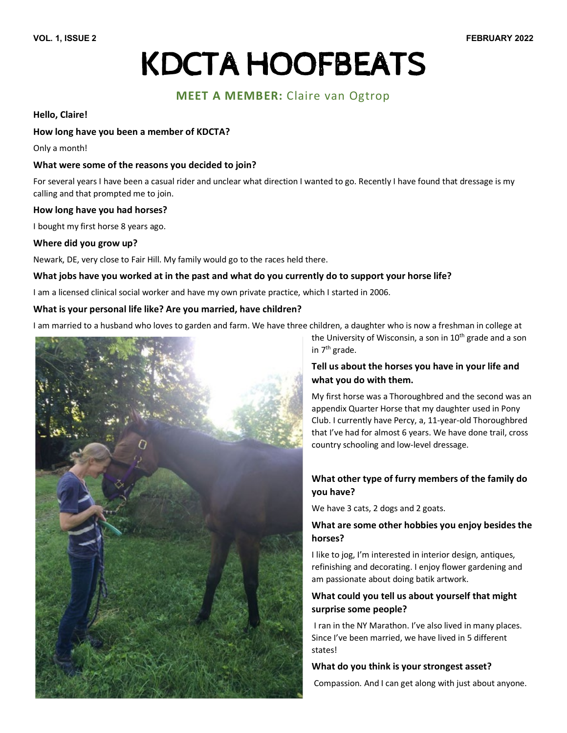# KDCTA HOOFBEATS

# **MEET A MEMBER:** Claire van Ogtrop

#### **Hello, Claire!**

## **How long have you been a member of KDCTA?**

Only a month!

## **What were some of the reasons you decided to join?**

For several years I have been a casual rider and unclear what direction I wanted to go. Recently I have found that dressage is my calling and that prompted me to join.

#### **How long have you had horses?**

I bought my first horse 8 years ago.

#### **Where did you grow up?**

Newark, DE, very close to Fair Hill. My family would go to the races held there.

## **What jobs have you worked at in the past and what do you currently do to support your horse life?**

I am a licensed clinical social worker and have my own private practice, which I started in 2006.

## **What is your personal life like? Are you married, have children?**

I am married to a husband who loves to garden and farm. We have three children, a daughter who is now a freshman in college at



the University of Wisconsin, a son in  $10<sup>th</sup>$  grade and a son in  $7<sup>th</sup>$  grade.

## **Tell us about the horses you have in your life and what you do with them.**

My first horse was a Thoroughbred and the second was an appendix Quarter Horse that my daughter used in Pony Club. I currently have Percy, a, 11-year-old Thoroughbred that I've had for almost 6 years. We have done trail, cross country schooling and low-level dressage.

## **What other type of furry members of the family do you have?**

We have 3 cats, 2 dogs and 2 goats.

## **What are some other hobbies you enjoy besides the horses?**

I like to jog, I'm interested in interior design, antiques, refinishing and decorating. I enjoy flower gardening and am passionate about doing batik artwork.

## **What could you tell us about yourself that might surprise some people?**

I ran in the NY Marathon. I've also lived in many places. Since I've been married, we have lived in 5 different states!

## **What do you think is your strongest asset?**

Compassion. And I can get along with just about anyone.